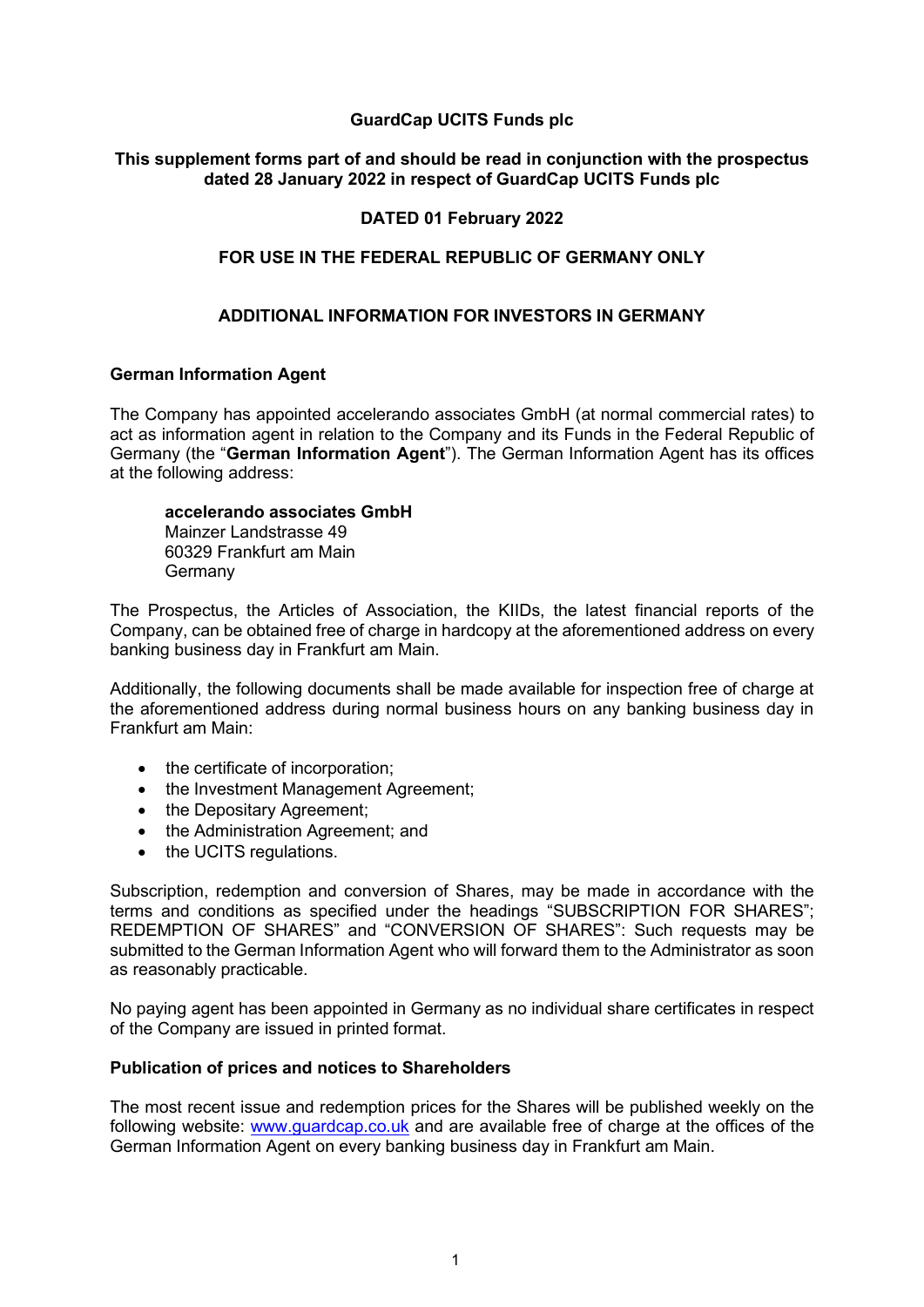# **GuardCap UCITS Funds plc**

## **This supplement forms part of and should be read in conjunction with the prospectus dated 28 January 2022 in respect of GuardCap UCITS Funds plc**

## **DATED 01 February 2022**

### **FOR USE IN THE FEDERAL REPUBLIC OF GERMANY ONLY**

### **ADDITIONAL INFORMATION FOR INVESTORS IN GERMANY**

#### **German Information Agent**

The Company has appointed accelerando associates GmbH (at normal commercial rates) to act as information agent in relation to the Company and its Funds in the Federal Republic of Germany (the "**German Information Agent**"). The German Information Agent has its offices at the following address:

#### **accelerando associates GmbH** Mainzer Landstrasse 49 60329 Frankfurt am Main Germany

The Prospectus, the Articles of Association, the KIIDs, the latest financial reports of the Company, can be obtained free of charge in hardcopy at the aforementioned address on every banking business day in Frankfurt am Main.

Additionally, the following documents shall be made available for inspection free of charge at the aforementioned address during normal business hours on any banking business day in Frankfurt am Main:

- the certificate of incorporation;
- the Investment Management Agreement;
- the Depositary Agreement;
- the Administration Agreement; and
- the UCITS regulations.

Subscription, redemption and conversion of Shares, may be made in accordance with the terms and conditions as specified under the headings "SUBSCRIPTION FOR SHARES"; REDEMPTION OF SHARES" and "CONVERSION OF SHARES": Such requests may be submitted to the German Information Agent who will forward them to the Administrator as soon as reasonably practicable.

No paying agent has been appointed in Germany as no individual share certificates in respect of the Company are issued in printed format.

#### **Publication of prices and notices to Shareholders**

The most recent issue and redemption prices for the Shares will be published weekly on the following website: [www.guardcap.co.uk](http://www.guardcap.co.uk/) and are available free of charge at the offices of the German Information Agent on every banking business day in Frankfurt am Main.